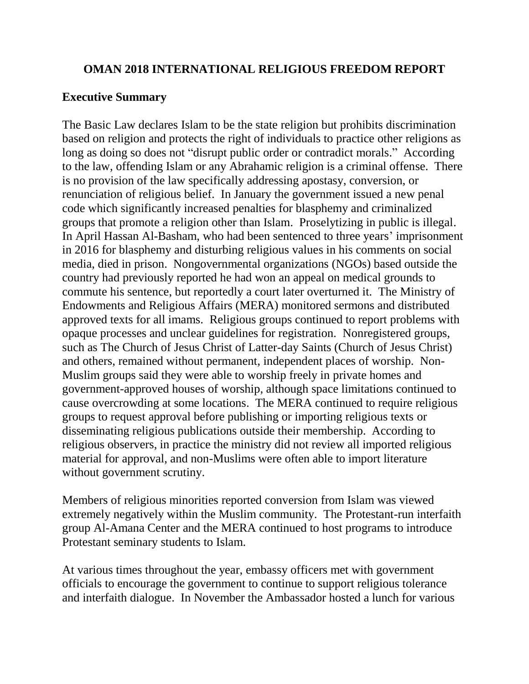## **OMAN 2018 INTERNATIONAL RELIGIOUS FREEDOM REPORT**

# **Executive Summary**

The Basic Law declares Islam to be the state religion but prohibits discrimination based on religion and protects the right of individuals to practice other religions as long as doing so does not "disrupt public order or contradict morals." According to the law, offending Islam or any Abrahamic religion is a criminal offense. There is no provision of the law specifically addressing apostasy, conversion, or renunciation of religious belief. In January the government issued a new penal code which significantly increased penalties for blasphemy and criminalized groups that promote a religion other than Islam. Proselytizing in public is illegal. In April Hassan Al-Basham, who had been sentenced to three years' imprisonment in 2016 for blasphemy and disturbing religious values in his comments on social media, died in prison. Nongovernmental organizations (NGOs) based outside the country had previously reported he had won an appeal on medical grounds to commute his sentence, but reportedly a court later overturned it. The Ministry of Endowments and Religious Affairs (MERA) monitored sermons and distributed approved texts for all imams. Religious groups continued to report problems with opaque processes and unclear guidelines for registration. Nonregistered groups, such as The Church of Jesus Christ of Latter-day Saints (Church of Jesus Christ) and others, remained without permanent, independent places of worship. Non-Muslim groups said they were able to worship freely in private homes and government-approved houses of worship, although space limitations continued to cause overcrowding at some locations. The MERA continued to require religious groups to request approval before publishing or importing religious texts or disseminating religious publications outside their membership. According to religious observers, in practice the ministry did not review all imported religious material for approval, and non-Muslims were often able to import literature without government scrutiny.

Members of religious minorities reported conversion from Islam was viewed extremely negatively within the Muslim community. The Protestant-run interfaith group Al-Amana Center and the MERA continued to host programs to introduce Protestant seminary students to Islam.

At various times throughout the year, embassy officers met with government officials to encourage the government to continue to support religious tolerance and interfaith dialogue. In November the Ambassador hosted a lunch for various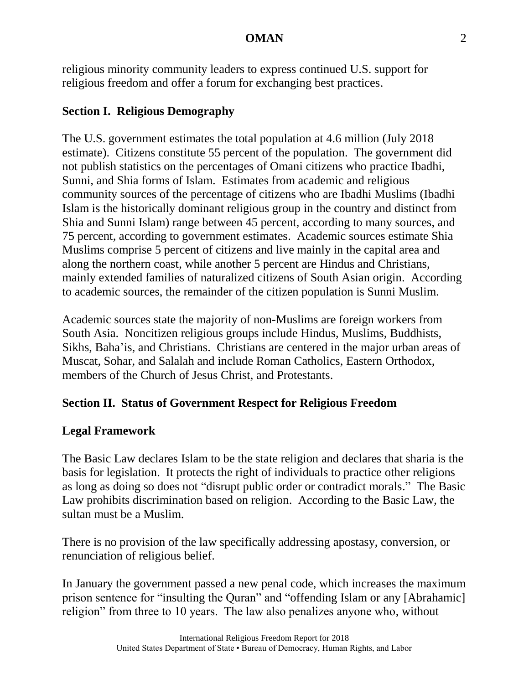religious minority community leaders to express continued U.S. support for religious freedom and offer a forum for exchanging best practices.

## **Section I. Religious Demography**

The U.S. government estimates the total population at 4.6 million (July 2018 estimate). Citizens constitute 55 percent of the population. The government did not publish statistics on the percentages of Omani citizens who practice Ibadhi, Sunni, and Shia forms of Islam. Estimates from academic and religious community sources of the percentage of citizens who are Ibadhi Muslims (Ibadhi Islam is the historically dominant religious group in the country and distinct from Shia and Sunni Islam) range between 45 percent, according to many sources, and 75 percent, according to government estimates. Academic sources estimate Shia Muslims comprise 5 percent of citizens and live mainly in the capital area and along the northern coast, while another 5 percent are Hindus and Christians, mainly extended families of naturalized citizens of South Asian origin. According to academic sources, the remainder of the citizen population is Sunni Muslim.

Academic sources state the majority of non-Muslims are foreign workers from South Asia. Noncitizen religious groups include Hindus, Muslims, Buddhists, Sikhs, Baha'is, and Christians. Christians are centered in the major urban areas of Muscat, Sohar, and Salalah and include Roman Catholics, Eastern Orthodox, members of the Church of Jesus Christ, and Protestants.

## **Section II. Status of Government Respect for Religious Freedom**

### **Legal Framework**

The Basic Law declares Islam to be the state religion and declares that sharia is the basis for legislation. It protects the right of individuals to practice other religions as long as doing so does not "disrupt public order or contradict morals." The Basic Law prohibits discrimination based on religion. According to the Basic Law, the sultan must be a Muslim.

There is no provision of the law specifically addressing apostasy, conversion, or renunciation of religious belief.

In January the government passed a new penal code, which increases the maximum prison sentence for "insulting the Quran" and "offending Islam or any [Abrahamic] religion" from three to 10 years. The law also penalizes anyone who, without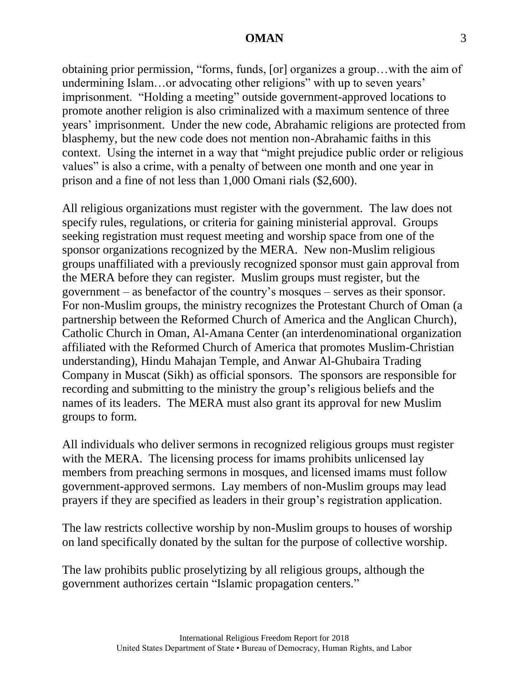obtaining prior permission, "forms, funds, [or] organizes a group…with the aim of undermining Islam…or advocating other religions" with up to seven years' imprisonment. "Holding a meeting" outside government-approved locations to promote another religion is also criminalized with a maximum sentence of three years' imprisonment. Under the new code, Abrahamic religions are protected from blasphemy, but the new code does not mention non-Abrahamic faiths in this context. Using the internet in a way that "might prejudice public order or religious values" is also a crime, with a penalty of between one month and one year in prison and a fine of not less than 1,000 Omani rials (\$2,600).

All religious organizations must register with the government. The law does not specify rules, regulations, or criteria for gaining ministerial approval. Groups seeking registration must request meeting and worship space from one of the sponsor organizations recognized by the MERA. New non-Muslim religious groups unaffiliated with a previously recognized sponsor must gain approval from the MERA before they can register. Muslim groups must register, but the government – as benefactor of the country's mosques – serves as their sponsor. For non-Muslim groups, the ministry recognizes the Protestant Church of Oman (a partnership between the Reformed Church of America and the Anglican Church), Catholic Church in Oman, Al-Amana Center (an interdenominational organization affiliated with the Reformed Church of America that promotes Muslim-Christian understanding), Hindu Mahajan Temple, and Anwar Al-Ghubaira Trading Company in Muscat (Sikh) as official sponsors. The sponsors are responsible for recording and submitting to the ministry the group's religious beliefs and the names of its leaders. The MERA must also grant its approval for new Muslim groups to form.

All individuals who deliver sermons in recognized religious groups must register with the MERA. The licensing process for imams prohibits unlicensed lay members from preaching sermons in mosques, and licensed imams must follow government-approved sermons. Lay members of non-Muslim groups may lead prayers if they are specified as leaders in their group's registration application.

The law restricts collective worship by non-Muslim groups to houses of worship on land specifically donated by the sultan for the purpose of collective worship.

The law prohibits public proselytizing by all religious groups, although the government authorizes certain "Islamic propagation centers."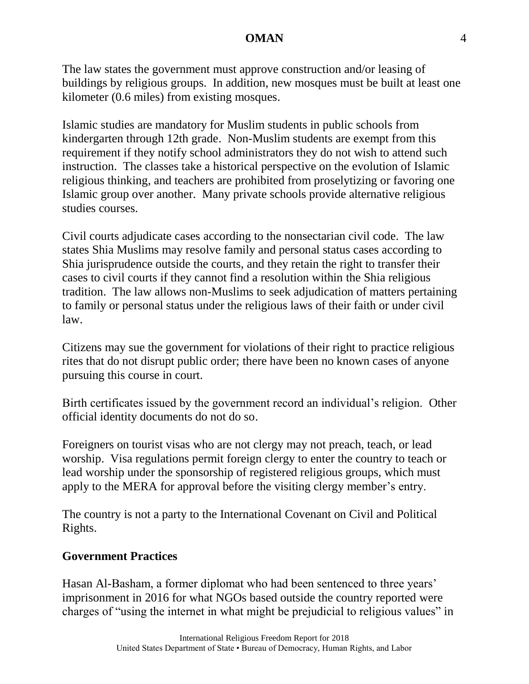The law states the government must approve construction and/or leasing of buildings by religious groups. In addition, new mosques must be built at least one kilometer (0.6 miles) from existing mosques.

Islamic studies are mandatory for Muslim students in public schools from kindergarten through 12th grade. Non-Muslim students are exempt from this requirement if they notify school administrators they do not wish to attend such instruction. The classes take a historical perspective on the evolution of Islamic religious thinking, and teachers are prohibited from proselytizing or favoring one Islamic group over another. Many private schools provide alternative religious studies courses.

Civil courts adjudicate cases according to the nonsectarian civil code. The law states Shia Muslims may resolve family and personal status cases according to Shia jurisprudence outside the courts, and they retain the right to transfer their cases to civil courts if they cannot find a resolution within the Shia religious tradition. The law allows non-Muslims to seek adjudication of matters pertaining to family or personal status under the religious laws of their faith or under civil law.

Citizens may sue the government for violations of their right to practice religious rites that do not disrupt public order; there have been no known cases of anyone pursuing this course in court.

Birth certificates issued by the government record an individual's religion. Other official identity documents do not do so.

Foreigners on tourist visas who are not clergy may not preach, teach, or lead worship. Visa regulations permit foreign clergy to enter the country to teach or lead worship under the sponsorship of registered religious groups, which must apply to the MERA for approval before the visiting clergy member's entry.

The country is not a party to the International Covenant on Civil and Political Rights.

### **Government Practices**

Hasan Al-Basham, a former diplomat who had been sentenced to three years' imprisonment in 2016 for what NGOs based outside the country reported were charges of "using the internet in what might be prejudicial to religious values" in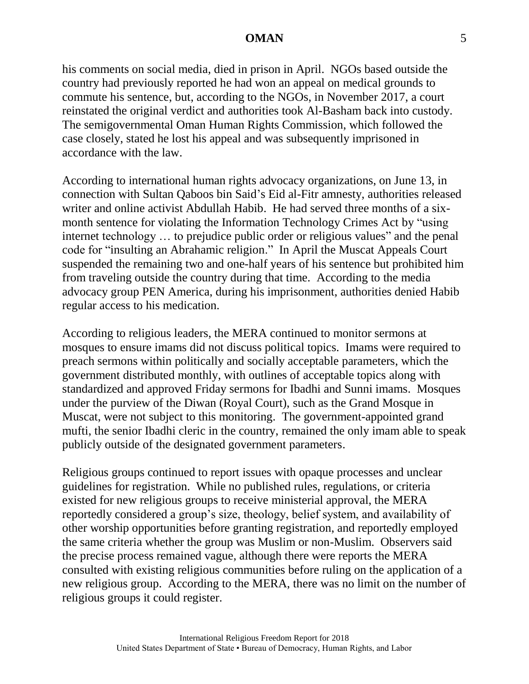his comments on social media, died in prison in April. NGOs based outside the country had previously reported he had won an appeal on medical grounds to commute his sentence, but, according to the NGOs, in November 2017, a court reinstated the original verdict and authorities took Al-Basham back into custody. The semigovernmental Oman Human Rights Commission, which followed the case closely, stated he lost his appeal and was subsequently imprisoned in accordance with the law.

According to international human rights advocacy organizations, on June 13, in connection with Sultan Qaboos bin Said's Eid al-Fitr amnesty, authorities released writer and online activist Abdullah Habib. He had served three months of a sixmonth sentence for violating the Information Technology Crimes Act by "using internet technology … to prejudice public order or religious values" and the penal code for "insulting an Abrahamic religion." In April the Muscat Appeals Court suspended the remaining two and one-half years of his sentence but prohibited him from traveling outside the country during that time. According to the media advocacy group PEN America, during his imprisonment, authorities denied Habib regular access to his medication.

According to religious leaders, the MERA continued to monitor sermons at mosques to ensure imams did not discuss political topics. Imams were required to preach sermons within politically and socially acceptable parameters, which the government distributed monthly, with outlines of acceptable topics along with standardized and approved Friday sermons for Ibadhi and Sunni imams. Mosques under the purview of the Diwan (Royal Court), such as the Grand Mosque in Muscat, were not subject to this monitoring. The government-appointed grand mufti, the senior Ibadhi cleric in the country, remained the only imam able to speak publicly outside of the designated government parameters.

Religious groups continued to report issues with opaque processes and unclear guidelines for registration. While no published rules, regulations, or criteria existed for new religious groups to receive ministerial approval, the MERA reportedly considered a group's size, theology, belief system, and availability of other worship opportunities before granting registration, and reportedly employed the same criteria whether the group was Muslim or non-Muslim. Observers said the precise process remained vague, although there were reports the MERA consulted with existing religious communities before ruling on the application of a new religious group. According to the MERA, there was no limit on the number of religious groups it could register.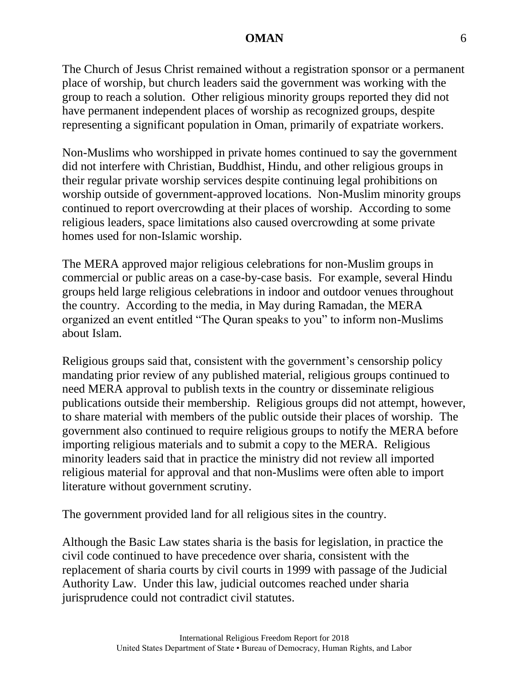The Church of Jesus Christ remained without a registration sponsor or a permanent place of worship, but church leaders said the government was working with the group to reach a solution. Other religious minority groups reported they did not have permanent independent places of worship as recognized groups, despite representing a significant population in Oman, primarily of expatriate workers.

Non-Muslims who worshipped in private homes continued to say the government did not interfere with Christian, Buddhist, Hindu, and other religious groups in their regular private worship services despite continuing legal prohibitions on worship outside of government-approved locations. Non-Muslim minority groups continued to report overcrowding at their places of worship. According to some religious leaders, space limitations also caused overcrowding at some private homes used for non-Islamic worship.

The MERA approved major religious celebrations for non-Muslim groups in commercial or public areas on a case-by-case basis. For example, several Hindu groups held large religious celebrations in indoor and outdoor venues throughout the country. According to the media, in May during Ramadan, the MERA organized an event entitled "The Quran speaks to you" to inform non-Muslims about Islam.

Religious groups said that, consistent with the government's censorship policy mandating prior review of any published material, religious groups continued to need MERA approval to publish texts in the country or disseminate religious publications outside their membership. Religious groups did not attempt, however, to share material with members of the public outside their places of worship. The government also continued to require religious groups to notify the MERA before importing religious materials and to submit a copy to the MERA. Religious minority leaders said that in practice the ministry did not review all imported religious material for approval and that non-Muslims were often able to import literature without government scrutiny.

The government provided land for all religious sites in the country.

Although the Basic Law states sharia is the basis for legislation, in practice the civil code continued to have precedence over sharia, consistent with the replacement of sharia courts by civil courts in 1999 with passage of the Judicial Authority Law. Under this law, judicial outcomes reached under sharia jurisprudence could not contradict civil statutes.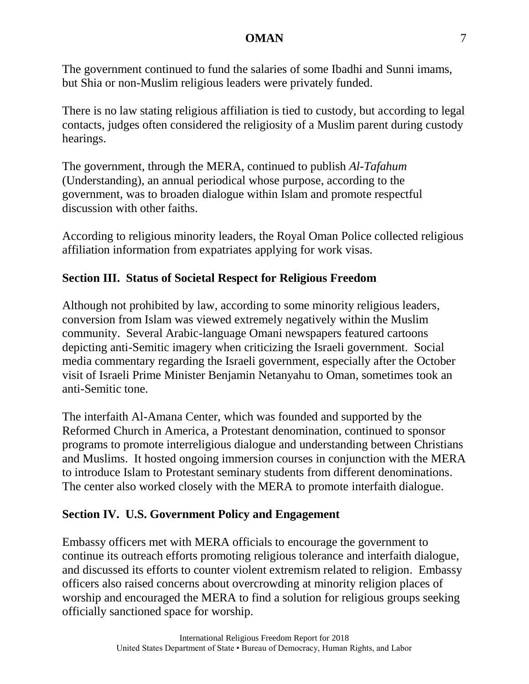The government continued to fund the salaries of some Ibadhi and Sunni imams, but Shia or non-Muslim religious leaders were privately funded.

There is no law stating religious affiliation is tied to custody, but according to legal contacts, judges often considered the religiosity of a Muslim parent during custody hearings.

The government, through the MERA, continued to publish *Al-Tafahum* (Understanding), an annual periodical whose purpose, according to the government, was to broaden dialogue within Islam and promote respectful discussion with other faiths.

According to religious minority leaders, the Royal Oman Police collected religious affiliation information from expatriates applying for work visas.

# **Section III. Status of Societal Respect for Religious Freedom**

Although not prohibited by law, according to some minority religious leaders, conversion from Islam was viewed extremely negatively within the Muslim community. Several Arabic-language Omani newspapers featured cartoons depicting anti-Semitic imagery when criticizing the Israeli government. Social media commentary regarding the Israeli government, especially after the October visit of Israeli Prime Minister Benjamin Netanyahu to Oman, sometimes took an anti-Semitic tone.

The interfaith Al-Amana Center, which was founded and supported by the Reformed Church in America, a Protestant denomination, continued to sponsor programs to promote interreligious dialogue and understanding between Christians and Muslims. It hosted ongoing immersion courses in conjunction with the MERA to introduce Islam to Protestant seminary students from different denominations. The center also worked closely with the MERA to promote interfaith dialogue.

## **Section IV. U.S. Government Policy and Engagement**

Embassy officers met with MERA officials to encourage the government to continue its outreach efforts promoting religious tolerance and interfaith dialogue, and discussed its efforts to counter violent extremism related to religion. Embassy officers also raised concerns about overcrowding at minority religion places of worship and encouraged the MERA to find a solution for religious groups seeking officially sanctioned space for worship.